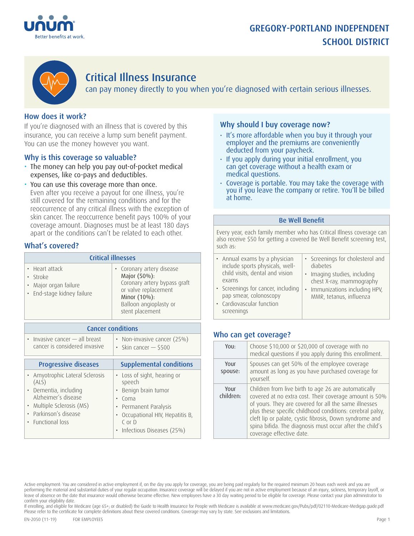# GREGORY-PORTLAND INDEPENDENT SCHOOL DISTRICT





# Critical Illness Insurance

can pay money directly to you when you're diagnosed with certain serious illnesses.

## How does it work?

If you're diagnosed with an illness that is covered by this insurance, you can receive a lump sum benefit payment. You can use the money however you want.

### Why is this coverage so valuable?

- The money can help you pay out-of-pocket medical expenses, like co-pays and deductibles.
- You can use this coverage more than once. Even after you receive a payout for one illness, you're still covered for the remaining conditions and for the reoccurrence of any critical illness with the exception of skin cancer. The reoccurrence benefit pays 100% of your coverage amount. Diagnoses must be at least 180 days apart or the conditions can't be related to each other.

### What's covered?

| <b>Critical illnesses</b>                                                         |                                                                                                                                                                |  |
|-----------------------------------------------------------------------------------|----------------------------------------------------------------------------------------------------------------------------------------------------------------|--|
| • Heart attack<br>· Stroke<br>• Major organ failure<br>· End-stage kidney failure | • Coronary artery disease<br>Major (50%):<br>Coronary artery bypass graft<br>or valve replacement<br>Minor (10%):<br>Balloon angioplasty or<br>stent placement |  |

| <b>Cancer conditions</b>                                                                                                                                          |                                                                                                                                                                                    |  |
|-------------------------------------------------------------------------------------------------------------------------------------------------------------------|------------------------------------------------------------------------------------------------------------------------------------------------------------------------------------|--|
| • Invasive cancer - all breast<br>cancer is considered invasive                                                                                                   | • Non-invasive cancer (25%)<br>• Skin cancer $-$ \$500                                                                                                                             |  |
| <b>Progressive diseases</b>                                                                                                                                       | <b>Supplemental conditions</b>                                                                                                                                                     |  |
| • Amyotrophic Lateral Sclerosis<br>(ALS)<br>• Dementia, including<br>Alzheimer's disease<br>• Multiple Sclerosis (MS)<br>Parkinson's disease<br>• Functional loss | Loss of sight, hearing or<br>$\bullet$<br>speech<br>Benign brain tumor<br>Coma<br>Permanent Paralysis<br>Occupational HIV, Hepatitis B,<br>$C$ or $D$<br>Infectious Diseases (25%) |  |

### Why should I buy coverage now?

- It's more affordable when you buy it through your employer and the premiums are conveniently deducted from your paycheck.
- If you apply during your initial enrollment, you can get coverage without a health exam or medical questions.
- Coverage is portable. You may take the coverage with you if you leave the company or retire. You'll be billed at home.

#### Be Well Benefit

Every year, each family member who has Critical Illness coverage can also receive \$50 for getting a covered Be Well Benefit screening test, such as:

| • Annual exams by a physician                                                                           | • Screenings for cholesterol and                          |
|---------------------------------------------------------------------------------------------------------|-----------------------------------------------------------|
| include sports physicals, well-                                                                         | diabetes                                                  |
| child visits, dental and vision                                                                         | · Imaging studies, including                              |
| exams                                                                                                   | chest X-ray, mammography                                  |
| • Screenings for cancer, including<br>pap smear, colonoscopy<br>• Cardiovascular function<br>screenings | • Immunizations including HPV,<br>MMR, tetanus, influenza |

### Who can get coverage?

| YOU:              | Choose \$10,000 or \$20,000 of coverage with no<br>medical questions if you apply during this enrollment.                                                                                                                                                                                                                                                                               |
|-------------------|-----------------------------------------------------------------------------------------------------------------------------------------------------------------------------------------------------------------------------------------------------------------------------------------------------------------------------------------------------------------------------------------|
| Your<br>spouse:   | Spouses can get 50% of the employee coverage<br>amount as long as you have purchased coverage for<br>yourself.                                                                                                                                                                                                                                                                          |
| Your<br>children: | Children from live birth to age 26 are automatically<br>covered at no extra cost. Their coverage amount is 50%<br>of yours. They are covered for all the same illnesses<br>plus these specific childhood conditions: cerebral palsy,<br>cleft lip or palate, cystic fibrosis, Down syndrome and<br>spina bifida. The diagnosis must occur after the child's<br>coverage effective date. |

If enrolling, and eligible for Medicare (age 65+; or disabled) the Guide to Health Insurance for People with Medicare is available at www.medicare.gov/Pubs/pdf/02110-Medicare-Medigap.guide.pdf Please refer to the certificate for complete definitions about these covered conditions. Coverage may vary by state. See exclusions and limitations.

Active employment: You are considered in active employment if, on the day you apply for coverage, you are being paid regularly for the required minimum 20 hours each week and you are performing the material and substantial duties of your regular occupation. Insurance coverage will be delayed if you are not in active employment because of an injury, sickness, temporary layoff, or leave of absence on the date that insurance would otherwise become effective. New employees have a 30 day waiting period to be eligible for coverage. Please contact your plan administrator to confirm your eligibility date.